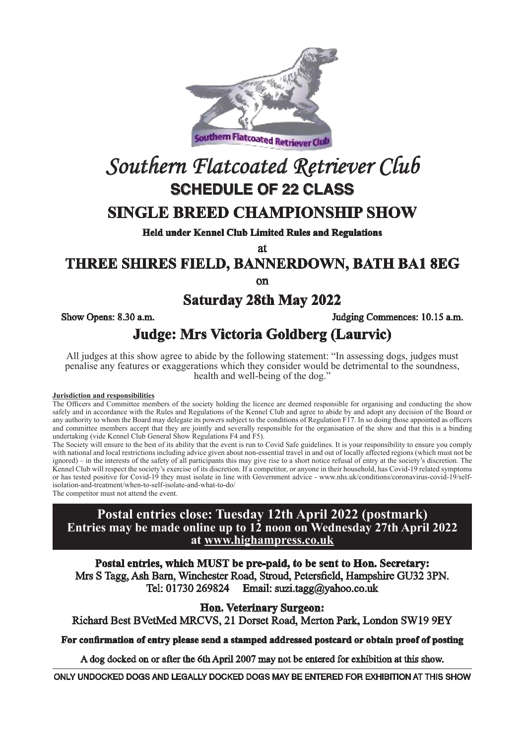

# *Southern Flatcoated Retriever Club* **SCHEDULE OF 22 CLASS**

### **SINGLE BREED CHAMPIONSHIP SHOW**

**Held under Kennel Club Limited Rules and Regulations**

at

### **THREE SHIRES FIELD, BANNERDOWN, BATH BA1 8EG**

on

### **Saturday 28th May 2022**

Show Opens: 8.30 a.m. Judging Commences: 10.15 a.m.

### **Judge: Mrs Victoria Goldberg (Laurvic)**

All judges at this show agree to abide by the following statement: "In assessing dogs, judges must penalise any features or exaggerations which they consider would be detrimental to the soundness, health and well-being of the dog."

#### **Jurisdiction and responsibilities**

The Officers and Committee members of the society holding the licence are deemed responsible for organising and conducting the show safely and in accordance with the Rules and Regulations of the Kennel Club and agree to abide by and adopt any decision of the Board or any authority to whom the Board may delegate its powers subject to the conditions of Regulation  $F_1$ . In so doing those appointed as officers and committee members accept that they are jointly and severally responsible for the organisation of the show and that this is a binding undertaking (vide Kennel Club General Show Regulations F4 and F5).

The Society will ensure to the best of its ability that the event is run to Covid Safe guidelines. It is your responsibility to ensure you comply with national and local restrictions including advice given about non-essential travel in and out of locally affected regions (which must not be ignored) – in the interests of the safety of all participants this may give rise to a short notice refusal of entry at the society's discretion. The Kennel Club will respect the society's exercise of its discretion. If a competitor, or anyone in their household, has Covid-19 related symptoms or has tested positive for Covid-19 they must isolate in line with Government advice - www.nhs.uk/conditions/coronavirus-covid-19/selfisolation-and-treatment/when-to-self-isolate-and-what-to-do/

The competitor must not attend the event.

#### **Postal entries close: Tuesday 12th April 2022 (postmark) Entries may be made online up to 12 noon on Wednesday 27th April 2022 at www.highampress.co.uk**

**Postal entries, which MUST be pre-paid, to be sent to Hon. Secretary:** Mrs S Tagg, Ash Barn, Winchester Road, Stroud, Petersfield, Hampshire GU32 3PN. Tel: 01730 269824 Email: suzi.tagg@yahoo.co.uk

**Hon. Veterinary Surgeon:** 

Richard Best BVetMed MRCVS, 21 Dorset Road, Merton Park, London SW19 9EY

#### **For confirmation of entry please send a stamped addressed postcard or obtain proof of posting**

A dog docked on or after the 6th April 2007 may not be entered for exhibition at this show.

ONLY UNDOCKED DOGS AND LEGALLY DOCKED DOGS MAY BE ENTERED FOR EXHIBITION AT THIS SHOW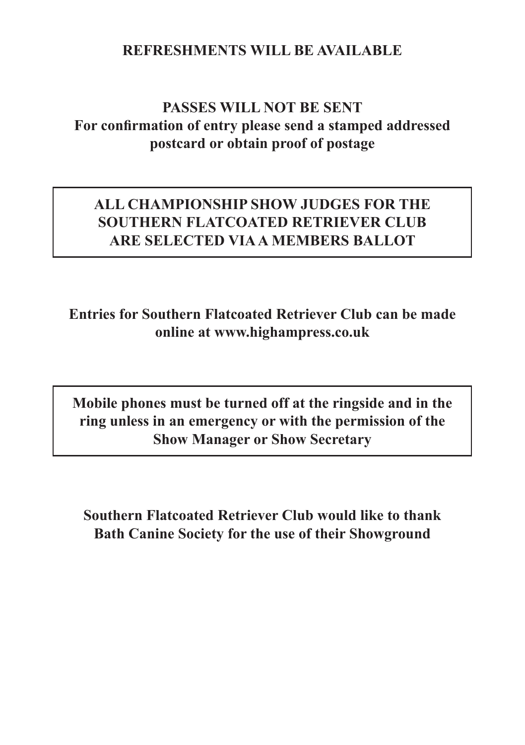### **REFRESHMENTS WILL BE AVAILABLE**

### **PASSES WILL NOT BE SENT For confirmation of entry please send a stamped addressed postcard or obtain proof of postage**

### **ALL CHAMPIONSHIP SHOW JUDGES FOR THE SOUTHERN FLATCOATED RETRIEVER CLUB ARE SELECTED VIA A MEMBERS BALLOT**

**Entries for Southern Flatcoated Retriever Club can be made online at www.highampress.co.uk**

**Mobile phones must be turned off at the ringside and in the ring unless in an emergency or with the permission of the Show Manager or Show Secretary**

**Southern Flatcoated Retriever Club would like to thank Bath Canine Society for the use of their Showground**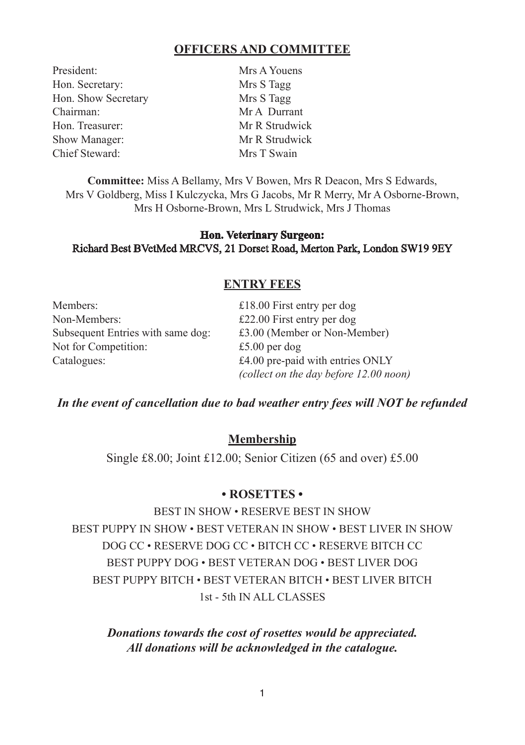#### **OFFICERS AND COMMITTEE**

President: Mrs A Youens Hon. Secretary: Mrs S Tagg Hon. Show Secretary Mrs S Tagg<br>Chairman: Mr A Durra Hon. Treasurer: Mr R Strudwick Show Manager: Mr R Strudwick Chief Steward: Mrs T Swain

Mr A Durrant

**Committee:** Miss A Bellamy, Mrs V Bowen, Mrs R Deacon, Mrs S Edwards, Mrs V Goldberg, Miss I Kulczycka, Mrs G Jacobs, Mr R Merry, Mr A Osborne-Brown, Mrs H Osborne-Brown, Mrs L Strudwick, Mrs J Thomas

#### **Hon. Veterinary Surgeon:**  Richard Best BVetMed MRCVS, 21 Dorset Road, Merton Park, London SW19 9EY

#### **ENTRY FEES**

| Members:                          | £18.00 First entry per dog             |
|-----------------------------------|----------------------------------------|
| Non-Members:                      | £22.00 First entry per dog             |
| Subsequent Entries with same dog: | £3.00 (Member or Non-Member)           |
| Not for Competition:              | £5.00 per dog                          |
| Catalogues:                       | £4.00 pre-paid with entries ONLY       |
|                                   | (collect on the day before 12.00 noon) |

#### *In the event of cancellation due to bad weather entry fees will NOT be refunded*

#### **Membership**

Single £8.00; Joint £12.00; Senior Citizen (65 and over) £5.00

#### **• ROSETTES •**

BEST IN SHOW • RESERVE BEST IN SHOW BEST PUPPY IN SHOW • BEST VETERAN IN SHOW • BEST LIVER IN SHOW DOG CC • RESERVE DOG CC • BITCH CC • RESERVE BITCH CC BEST PUPPY DOG • BEST VETERAN DOG • BEST LIVER DOG BEST PUPPY BITCH • BEST VETERAN BITCH • BEST LIVER BITCH 1st - 5th IN ALL CLASSES

*Donations towards the cost of rosettes would be appreciated. All donations will be acknowledged in the catalogue.*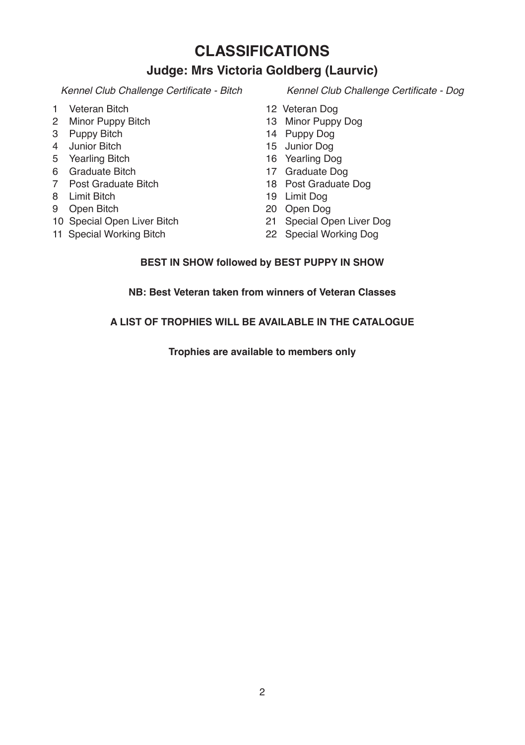### **CLASSIFICATIONS**

### **Judge: Mrs Victoria Goldberg (Laurvic)**

- 1 Veteran Bitch
- 2 Minor Puppy Bitch
- 3 Puppy Bitch
- 4 Junior Bitch
- 5 Yearling Bitch
- 6 Graduate Bitch
- 7 Post Graduate Bitch
- 8 Limit Bitch
- 9 Open Bitch
- 10 Special Open Liver Bitch
- 11 Special Working Bitch

Kennel Club Challenge Certificate - Bitch Kennel Club Challenge Certificate - Dog

- 12 Veteran Dog
- 13 Minor Puppy Dog
- 14 Puppy Dog
- 15 Junior Dog
- 16 Yearling Dog
- 17 Graduate Dog
- 18 Post Graduate Dog
- 19 Limit Dog
- 20 Open Dog
- 21 Special Open Liver Dog
- 22 Special Working Dog

#### **BEST IN SHOW followed by BEST PUPPY IN SHOW**

**NB: Best Veteran taken from winners of Veteran Classes**

#### **A LIST OF TROPHIES WILL BE AVAILABLE IN THE CATALOGUE**

**Trophies are available to members only**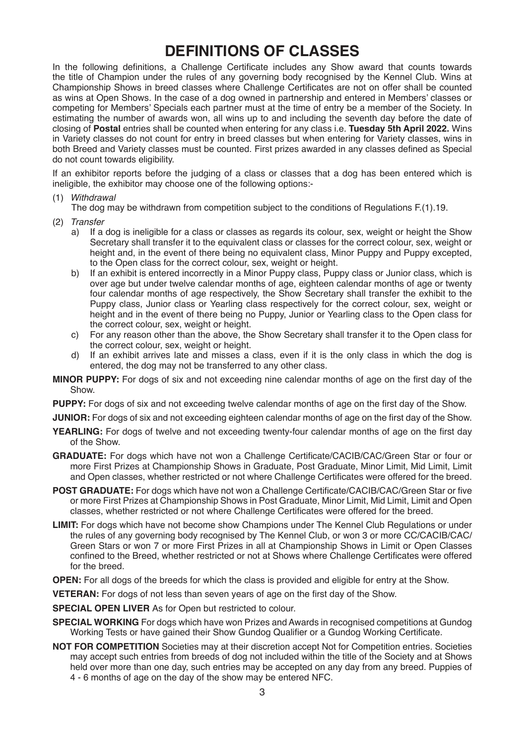### **DEFINITIONS OF CLASSES**

In the following definitions, a Challenge Certificate includes any Show award that counts towards the title of Champion under the rules of any governing body recognised by the Kennel Club. Wins at Championship Shows in breed classes where Challenge Certificates are not on offer shall be counted as wins at Open Shows. In the case of a dog owned in partnership and entered in Members' classes or competing for Members' Specials each partner must at the time of entry be a member of the Society. In estimating the number of awards won, all wins up to and including the seventh day before the date of closing of **Postal** entries shall be counted when entering for any class i.e. **Tuesday 5th April 2022.** Wins in Variety classes do not count for entry in breed classes but when entering for Variety classes, wins in both Breed and Variety classes must be counted. First prizes awarded in any classes defined as Special do not count towards eligibility.

If an exhibitor reports before the judging of a class or classes that a dog has been entered which is ineligible, the exhibitor may choose one of the following options:-

(1) *Withdrawal*

The dog may be withdrawn from competition subject to the conditions of Regulations F.(1).19.

- (2) *Transfer*
	- a) If a dog is ineligible for a class or classes as regards its colour, sex, weight or height the Show Secretary shall transfer it to the equivalent class or classes for the correct colour, sex, weight or height and, in the event of there being no equivalent class, Minor Puppy and Puppy excepted, to the Open class for the correct colour, sex, weight or height.
	- b) If an exhibit is entered incorrectly in a Minor Puppy class, Puppy class or Junior class, which is over age but under twelve calendar months of age, eighteen calendar months of age or twenty four calendar months of age respectively, the Show Secretary shall transfer the exhibit to the Puppy class, Junior class or Yearling class respectively for the correct colour, sex, weight or height and in the event of there being no Puppy, Junior or Yearling class to the Open class for the correct colour, sex, weight or height.
	- c) For any reason other than the above, the Show Secretary shall transfer it to the Open class for the correct colour, sex, weight or height.
	- d) If an exhibit arrives late and misses a class, even if it is the only class in which the dog is entered, the dog may not be transferred to any other class.
- **MINOR PUPPY:** For dogs of six and not exceeding nine calendar months of age on the first day of the Show.
- **PUPPY:** For dogs of six and not exceeding twelve calendar months of age on the first day of the Show.
- **JUNIOR:** For dogs of six and not exceeding eighteen calendar months of age on the first day of the Show.
- YEARLING: For dogs of twelve and not exceeding twenty-four calendar months of age on the first day of the Show.
- **GRADUATE:** For dogs which have not won a Challenge Certificate/CACIB/CAC/Green Star or four or more First Prizes at Championship Shows in Graduate, Post Graduate, Minor Limit, Mid Limit, Limit and Open classes, whether restricted or not where Challenge Certificates were offered for the breed.
- **POST GRADUATE:** For dogs which have not won a Challenge Certificate/CACIB/CAC/Green Star or five or more First Prizes at Championship Shows in Post Graduate, Minor Limit, Mid Limit, Limit and Open classes, whether restricted or not where Challenge Certificates were offered for the breed.
- **LIMIT:** For dogs which have not become show Champions under The Kennel Club Regulations or under the rules of any governing body recognised by The Kennel Club, or won 3 or more CC/CACIB/CAC/ Green Stars or won 7 or more First Prizes in all at Championship Shows in Limit or Open Classes confined to the Breed, whether restricted or not at Shows where Challenge Certificates were offered for the breed.

**OPEN:** For all dogs of the breeds for which the class is provided and eligible for entry at the Show.

**VETERAN:** For dogs of not less than seven years of age on the first day of the Show.

**SPECIAL OPEN LIVER** As for Open but restricted to colour.

- **SPECIAL WORKING** For dogs which have won Prizes and Awards in recognised competitions at Gundog Working Tests or have gained their Show Gundog Qualifier or a Gundog Working Certificate.
- **NOT FOR COMPETITION** Societies may at their discretion accept Not for Competition entries. Societies may accept such entries from breeds of dog not included within the title of the Society and at Shows held over more than one day, such entries may be accepted on any day from any breed. Puppies of 4 - 6 months of age on the day of the show may be entered NFC.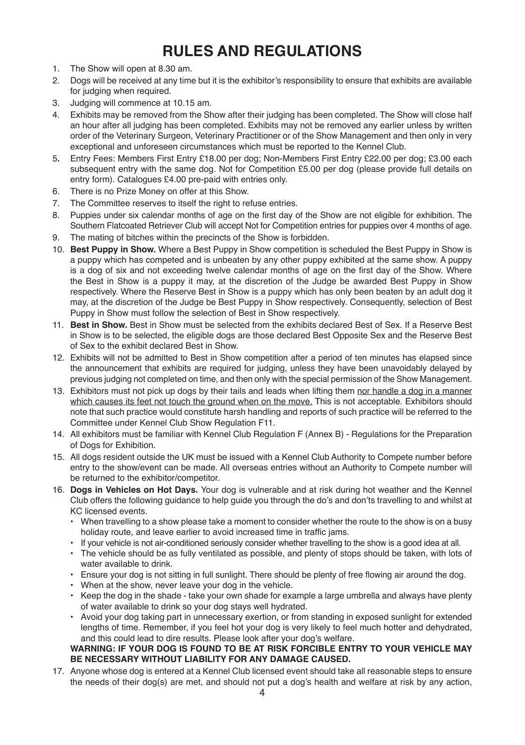## **RULES AND REGULATIONS**

- 1. The Show will open at 8.30 am.
- 2. Dogs will be received at any time but it is the exhibitor's responsibility to ensure that exhibits are available for judging when required.
- 3. Judging will commence at 10.15 am.
- 4. Exhibits may be removed from the Show after their judging has been completed. The Show will close half an hour after all judging has been completed. Exhibits may not be removed any earlier unless by written order of the Veterinary Surgeon, Veterinary Practitioner or of the Show Management and then only in very exceptional and unforeseen circumstances which must be reported to the Kennel Club.
- 5**.** Entry Fees: Members First Entry £18.00 per dog; Non-Members First Entry £22.00 per dog; £3.00 each subsequent entry with the same dog. Not for Competition £5.00 per dog (please provide full details on entry form). Catalogues £4.00 pre-paid with entries only.
- 6. There is no Prize Money on offer at this Show.
- 7. The Committee reserves to itself the right to refuse entries.
- 8. Puppies under six calendar months of age on the first day of the Show are not eligible for exhibition. The Southern Flatcoated Retriever Club will accept Not for Competition entries for puppies over 4 months of age.
- 9. The mating of bitches within the precincts of the Show is forbidden.
- 10. **Best Puppy in Show.** Where a Best Puppy in Show competition is scheduled the Best Puppy in Show is a puppy which has competed and is unbeaten by any other puppy exhibited at the same show. A puppy is a dog of six and not exceeding twelve calendar months of age on the first day of the Show. Where the Best in Show is a puppy it may, at the discretion of the Judge be awarded Best Puppy in Show respectively. Where the Reserve Best in Show is a puppy which has only been beaten by an adult dog it may, at the discretion of the Judge be Best Puppy in Show respectively. Consequently, selection of Best Puppy in Show must follow the selection of Best in Show respectively.
- 11. **Best in Show.** Best in Show must be selected from the exhibits declared Best of Sex. If a Reserve Best in Show is to be selected, the eligible dogs are those declared Best Opposite Sex and the Reserve Best of Sex to the exhibit declared Best in Show.
- 12. Exhibits will not be admitted to Best in Show competition after a period of ten minutes has elapsed since the announcement that exhibits are required for judging, unless they have been unavoidably delayed by previous judging not completed on time, and then only with the special permission of the Show Management.
- 13. Exhibitors must not pick up dogs by their tails and leads when lifting them nor handle a dog in a manner which causes its feet not touch the ground when on the move. This is not acceptable. Exhibitors should note that such practice would constitute harsh handling and reports of such practice will be referred to the Committee under Kennel Club Show Regulation F11.
- 14. All exhibitors must be familiar with Kennel Club Regulation F (Annex B) Regulations for the Preparation of Dogs for Exhibition.
- 15. All dogs resident outside the UK must be issued with a Kennel Club Authority to Compete number before entry to the show/event can be made. All overseas entries without an Authority to Compete number will be returned to the exhibitor/competitor.
- 16. **Dogs in Vehicles on Hot Days.** Your dog is vulnerable and at risk during hot weather and the Kennel Club offers the following guidance to help guide you through the do's and don'ts travelling to and whilst at KC licensed events.
	- When travelling to a show please take a moment to consider whether the route to the show is on a busy holiday route, and leave earlier to avoid increased time in traffic jams.
	- If your vehicle is not air-conditioned seriously consider whether travelling to the show is a good idea at all.
	- The vehicle should be as fully ventilated as possible, and plenty of stops should be taken, with lots of water available to drink
	- Ensure your dog is not sitting in full sunlight. There should be plenty of free flowing air around the dog.
	- When at the show, never leave your dog in the vehicle.
	- Keep the dog in the shade take your own shade for example a large umbrella and always have plenty of water available to drink so your dog stays well hydrated.
	- Avoid your dog taking part in unnecessary exertion, or from standing in exposed sunlight for extended lengths of time. Remember, if you feel hot your dog is very likely to feel much hotter and dehydrated, and this could lead to dire results. Please look after your dog's welfare.

#### **WARNING: IF YOUR DOG IS FOUND TO BE AT RISK FORCIBLE ENTRY TO YOUR VEHICLE MAY BE NECESSARY WITHOUT LIABILITY FOR ANY DAMAGE CAUSED.**

17. Anyone whose dog is entered at a Kennel Club licensed event should take all reasonable steps to ensure the needs of their dog(s) are met, and should not put a dog's health and welfare at risk by any action,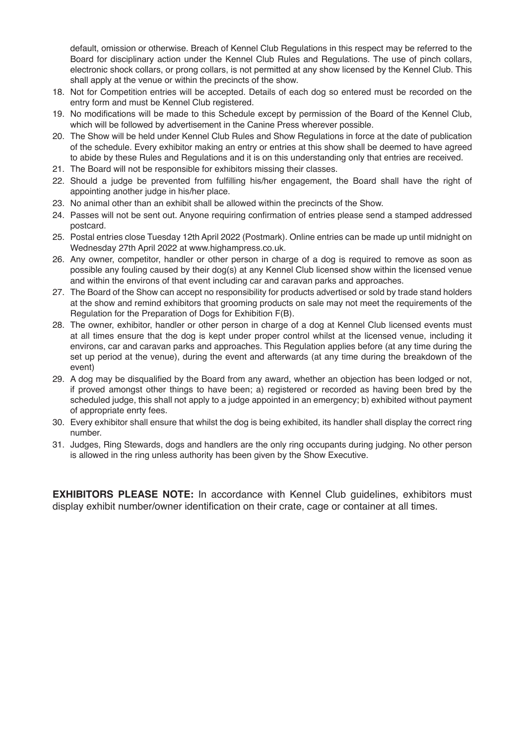default, omission or otherwise. Breach of Kennel Club Regulations in this respect may be referred to the Board for disciplinary action under the Kennel Club Rules and Regulations. The use of pinch collars, electronic shock collars, or prong collars, is not permitted at any show licensed by the Kennel Club. This shall apply at the venue or within the precincts of the show.

- 18. Not for Competition entries will be accepted. Details of each dog so entered must be recorded on the entry form and must be Kennel Club registered.
- 19. No modifications will be made to this Schedule except by permission of the Board of the Kennel Club, which will be followed by advertisement in the Canine Press wherever possible.
- 20. The Show will be held under Kennel Club Rules and Show Regulations in force at the date of publication of the schedule. Every exhibitor making an entry or entries at this show shall be deemed to have agreed to abide by these Rules and Regulations and it is on this understanding only that entries are received.
- 21. The Board will not be responsible for exhibitors missing their classes.
- 22. Should a judge be prevented from fulfilling his/her engagement, the Board shall have the right of appointing another judge in his/her place.
- 23. No animal other than an exhibit shall be allowed within the precincts of the Show.
- 24. Passes will not be sent out. Anyone requiring confirmation of entries please send a stamped addressed postcard.
- 25. Postal entries close Tuesday 12th April 2022 (Postmark). Online entries can be made up until midnight on Wednesday 27th April 2022 at www.highampress.co.uk.
- 26. Any owner, competitor, handler or other person in charge of a dog is required to remove as soon as possible any fouling caused by their dog(s) at any Kennel Club licensed show within the licensed venue and within the environs of that event including car and caravan parks and approaches.
- 27. The Board of the Show can accept no responsibility for products advertised or sold by trade stand holders at the show and remind exhibitors that grooming products on sale may not meet the requirements of the Regulation for the Preparation of Dogs for Exhibition F(B).
- 28. The owner, exhibitor, handler or other person in charge of a dog at Kennel Club licensed events must at all times ensure that the dog is kept under proper control whilst at the licensed venue, including it environs, car and caravan parks and approaches. This Regulation applies before (at any time during the set up period at the venue), during the event and afterwards (at any time during the breakdown of the event)
- 29. A dog may be disqualified by the Board from any award, whether an objection has been lodged or not, if proved amongst other things to have been; a) registered or recorded as having been bred by the scheduled judge, this shall not apply to a judge appointed in an emergency; b) exhibited without payment of appropriate enrty fees.
- 30. Every exhibitor shall ensure that whilst the dog is being exhibited, its handler shall display the correct ring number.
- 31. Judges, Ring Stewards, dogs and handlers are the only ring occupants during judging. No other person is allowed in the ring unless authority has been given by the Show Executive.

**EXHIBITORS PLEASE NOTE:** In accordance with Kennel Club guidelines, exhibitors must display exhibit number/owner identification on their crate, cage or container at all times.